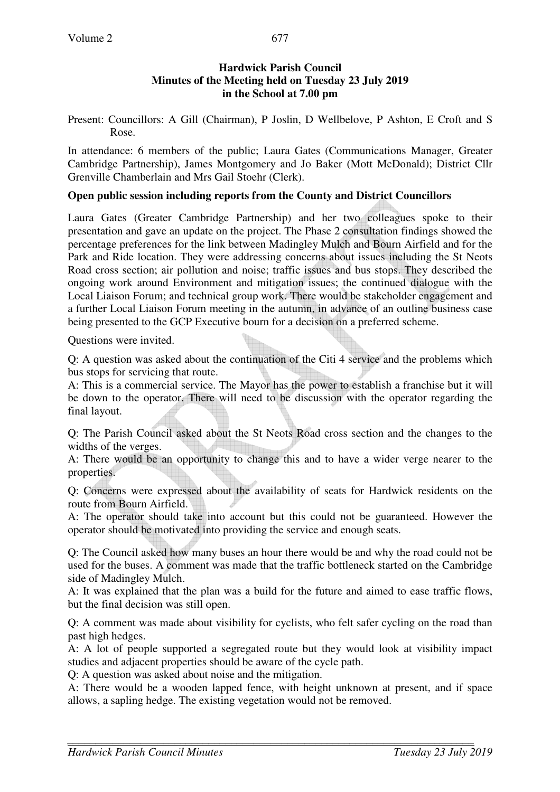#### **Hardwick Parish Council Minutes of the Meeting held on Tuesday 23 July 2019 in the School at 7.00 pm**

Present: Councillors: A Gill (Chairman), P Joslin, D Wellbelove, P Ashton, E Croft and S Rose.

In attendance: 6 members of the public; Laura Gates (Communications Manager, Greater Cambridge Partnership), James Montgomery and Jo Baker (Mott McDonald); District Cllr Grenville Chamberlain and Mrs Gail Stoehr (Clerk).

## **Open public session including reports from the County and District Councillors**

Laura Gates (Greater Cambridge Partnership) and her two colleagues spoke to their presentation and gave an update on the project. The Phase 2 consultation findings showed the percentage preferences for the link between Madingley Mulch and Bourn Airfield and for the Park and Ride location. They were addressing concerns about issues including the St Neots Road cross section; air pollution and noise; traffic issues and bus stops. They described the ongoing work around Environment and mitigation issues; the continued dialogue with the Local Liaison Forum; and technical group work. There would be stakeholder engagement and a further Local Liaison Forum meeting in the autumn, in advance of an outline business case being presented to the GCP Executive bourn for a decision on a preferred scheme.

Questions were invited.

Q: A question was asked about the continuation of the Citi 4 service and the problems which bus stops for servicing that route.

A: This is a commercial service. The Mayor has the power to establish a franchise but it will be down to the operator. There will need to be discussion with the operator regarding the final layout.

Q: The Parish Council asked about the St Neots Road cross section and the changes to the widths of the verges.

A: There would be an opportunity to change this and to have a wider verge nearer to the properties.

Q: Concerns were expressed about the availability of seats for Hardwick residents on the route from Bourn Airfield.

A: The operator should take into account but this could not be guaranteed. However the operator should be motivated into providing the service and enough seats.

Q: The Council asked how many buses an hour there would be and why the road could not be used for the buses. A comment was made that the traffic bottleneck started on the Cambridge side of Madingley Mulch.

A: It was explained that the plan was a build for the future and aimed to ease traffic flows, but the final decision was still open.

Q: A comment was made about visibility for cyclists, who felt safer cycling on the road than past high hedges.

A: A lot of people supported a segregated route but they would look at visibility impact studies and adjacent properties should be aware of the cycle path.

Q: A question was asked about noise and the mitigation.

A: There would be a wooden lapped fence, with height unknown at present, and if space allows, a sapling hedge. The existing vegetation would not be removed.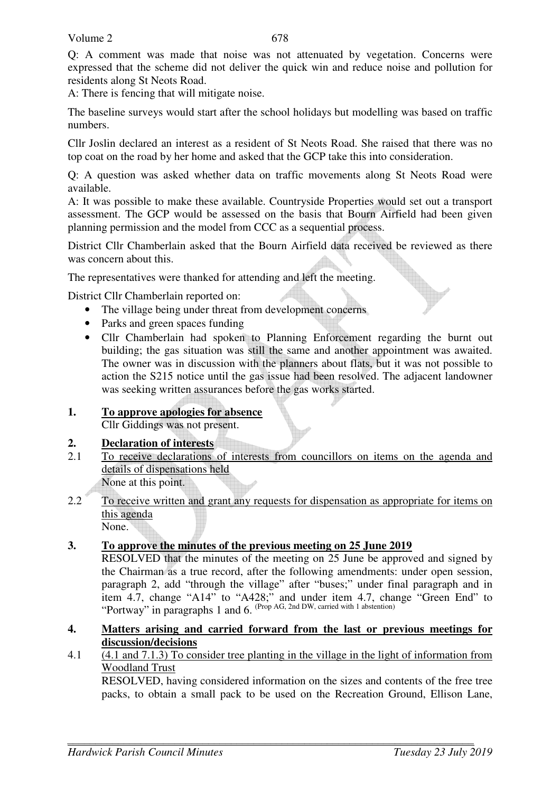Q: A comment was made that noise was not attenuated by vegetation. Concerns were expressed that the scheme did not deliver the quick win and reduce noise and pollution for residents along St Neots Road.

A: There is fencing that will mitigate noise.

The baseline surveys would start after the school holidays but modelling was based on traffic numbers.

Cllr Joslin declared an interest as a resident of St Neots Road. She raised that there was no top coat on the road by her home and asked that the GCP take this into consideration.

Q: A question was asked whether data on traffic movements along St Neots Road were available.

A: It was possible to make these available. Countryside Properties would set out a transport assessment. The GCP would be assessed on the basis that Bourn Airfield had been given planning permission and the model from CCC as a sequential process.

District Cllr Chamberlain asked that the Bourn Airfield data received be reviewed as there was concern about this.

The representatives were thanked for attending and left the meeting.

District Cllr Chamberlain reported on:

- The village being under threat from development concerns
- Parks and green spaces funding
- Cllr Chamberlain had spoken to Planning Enforcement regarding the burnt out building; the gas situation was still the same and another appointment was awaited. The owner was in discussion with the planners about flats, but it was not possible to action the S215 notice until the gas issue had been resolved. The adjacent landowner was seeking written assurances before the gas works started.
- **1. To approve apologies for absence** Cllr Giddings was not present.

### **2. Declaration of interests**

- 2.1 To receive declarations of interests from councillors on items on the agenda and details of dispensations held None at this point.
- 2.2 To receive written and grant any requests for dispensation as appropriate for items on this agenda None.

### **3. To approve the minutes of the previous meeting on 25 June 2019**

 RESOLVED that the minutes of the meeting on 25 June be approved and signed by the Chairman as a true record, after the following amendments: under open session, paragraph 2, add "through the village" after "buses;" under final paragraph and in item 4.7, change "A14" to "A428;" and under item 4.7, change "Green End" to "Portway" in paragraphs 1 and 6. (Prop AG, 2nd DW, carried with 1 abstention)

- **4. Matters arising and carried forward from the last or previous meetings for discussion/decisions**
- 4.1 (4.1 and 7.1.3) To consider tree planting in the village in the light of information from Woodland Trust

 RESOLVED, having considered information on the sizes and contents of the free tree packs, to obtain a small pack to be used on the Recreation Ground, Ellison Lane,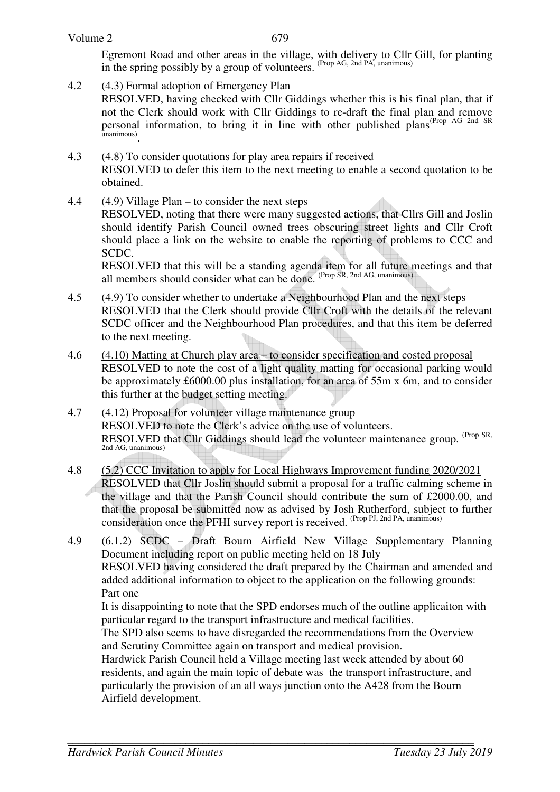Egremont Road and other areas in the village, with delivery to Cllr Gill, for planting in the spring possibly by a group of volunteers. (Prop AG, 2nd PA, unanimous)

4.2 (4.3) Formal adoption of Emergency Plan

RESOLVED, having checked with Cllr Giddings whether this is his final plan, that if not the Clerk should work with Cllr Giddings to re-draft the final plan and remove personal information, to bring it in line with other published plans(Prop AG 2nd SR unanimous) .

- 4.3 (4.8) To consider quotations for play area repairs if received RESOLVED to defer this item to the next meeting to enable a second quotation to be obtained.
- 4.4 (4.9) Village Plan to consider the next steps

RESOLVED, noting that there were many suggested actions, that Cllrs Gill and Joslin should identify Parish Council owned trees obscuring street lights and Cllr Croft should place a link on the website to enable the reporting of problems to CCC and SCDC.

RESOLVED that this will be a standing agenda item for all future meetings and that all members should consider what can be done. (Prop SR, 2nd AG, unanimous)

- 4.5 (4.9) To consider whether to undertake a Neighbourhood Plan and the next steps RESOLVED that the Clerk should provide Cllr Croft with the details of the relevant SCDC officer and the Neighbourhood Plan procedures, and that this item be deferred to the next meeting.
- 4.6 (4.10) Matting at Church play area to consider specification and costed proposal RESOLVED to note the cost of a light quality matting for occasional parking would be approximately £6000.00 plus installation, for an area of 55m x 6m, and to consider this further at the budget setting meeting.
- 4.7 (4.12) Proposal for volunteer village maintenance group RESOLVED to note the Clerk's advice on the use of volunteers. RESOLVED that Cllr Giddings should lead the volunteer maintenance group. <sup>(Prop SR,</sup> 2nd AG, unanimous)
- 4.8 (5.2) CCC Invitation to apply for Local Highways Improvement funding 2020/2021 RESOLVED that Cllr Joslin should submit a proposal for a traffic calming scheme in the village and that the Parish Council should contribute the sum of £2000.00, and that the proposal be submitted now as advised by Josh Rutherford, subject to further consideration once the PFHI survey report is received. (Prop PJ, 2nd PA, unanimous)
- 4.9 (6.1.2) SCDC Draft Bourn Airfield New Village Supplementary Planning Document including report on public meeting held on 18 July RESOLVED having considered the draft prepared by the Chairman and amended and added additional information to object to the application on the following grounds: Part one It is disappointing to note that the SPD endorses much of the outline applicaiton with

particular regard to the transport infrastructure and medical facilities.

The SPD also seems to have disregarded the recommendations from the Overview and Scrutiny Committee again on transport and medical provision.

Hardwick Parish Council held a Village meeting last week attended by about 60 residents, and again the main topic of debate was the transport infrastructure, and particularly the provision of an all ways junction onto the A428 from the Bourn Airfield development.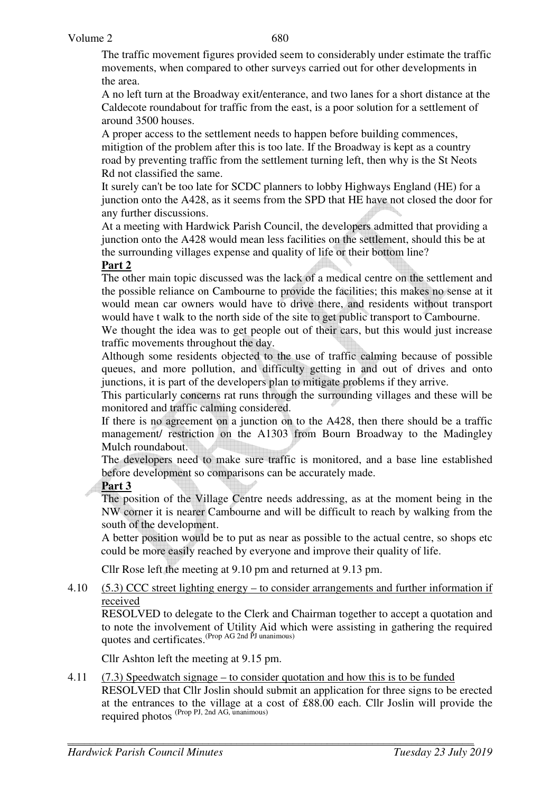The traffic movement figures provided seem to considerably under estimate the traffic movements, when compared to other surveys carried out for other developments in the area.

A no left turn at the Broadway exit/enterance, and two lanes for a short distance at the Caldecote roundabout for traffic from the east, is a poor solution for a settlement of around 3500 houses.

A proper access to the settlement needs to happen before building commences, mitigtion of the problem after this is too late. If the Broadway is kept as a country road by preventing traffic from the settlement turning left, then why is the St Neots Rd not classified the same.

It surely can't be too late for SCDC planners to lobby Highways England (HE) for a junction onto the A428, as it seems from the SPD that HE have not closed the door for any further discussions.

At a meeting with Hardwick Parish Council, the developers admitted that providing a junction onto the A428 would mean less facilities on the settlement, should this be at the surrounding villages expense and quality of life or their bottom line?

# **Part 2**

The other main topic discussed was the lack of a medical centre on the settlement and the possible reliance on Cambourne to provide the facilities; this makes no sense at it would mean car owners would have to drive there, and residents without transport would have t walk to the north side of the site to get public transport to Cambourne.

We thought the idea was to get people out of their cars, but this would just increase traffic movements throughout the day.

Although some residents objected to the use of traffic calming because of possible queues, and more pollution, and difficulty getting in and out of drives and onto junctions, it is part of the developers plan to mitigate problems if they arrive.

This particularly concerns rat runs through the surrounding villages and these will be monitored and traffic calming considered.

If there is no agreement on a junction on to the A428, then there should be a traffic management/ restriction on the A1303 from Bourn Broadway to the Madingley Mulch roundabout.

The developers need to make sure traffic is monitored, and a base line established before development so comparisons can be accurately made.

### **Part 3**

The position of the Village Centre needs addressing, as at the moment being in the NW corner it is nearer Cambourne and will be difficult to reach by walking from the south of the development.

A better position would be to put as near as possible to the actual centre, so shops etc could be more easily reached by everyone and improve their quality of life.

Cllr Rose left the meeting at 9.10 pm and returned at 9.13 pm.

#### 4.10 (5.3) CCC street lighting energy – to consider arrangements and further information if received

RESOLVED to delegate to the Clerk and Chairman together to accept a quotation and to note the involvement of Utility Aid which were assisting in gathering the required quotes and certificates.<sup>(Prop AG 2nd PJ unanimous)</sup>

Cllr Ashton left the meeting at 9.15 pm.

#### 4.11 (7.3) Speedwatch signage – to consider quotation and how this is to be funded

RESOLVED that Cllr Joslin should submit an application for three signs to be erected at the entrances to the village at a cost of £88.00 each. Cllr Joslin will provide the required photos (Prop PJ, 2nd AG, unanimous)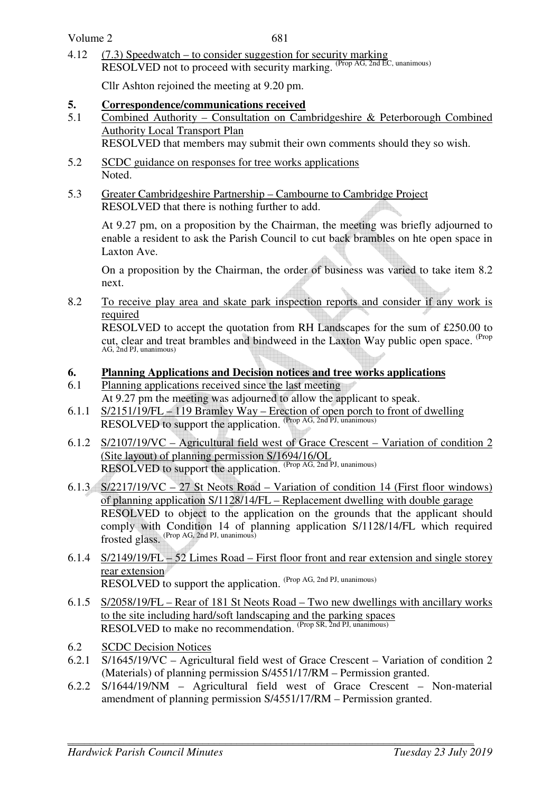4.12 (7.3) Speedwatch – to consider suggestion for security marking RESOLVED not to proceed with security marking. (Prop AG, 2nd EC, unanimous)

Cllr Ashton rejoined the meeting at 9.20 pm.

### **5. Correspondence/communications received**

5.1 Combined Authority – Consultation on Cambridgeshire & Peterborough Combined Authority Local Transport Plan

RESOLVED that members may submit their own comments should they so wish.

- 5.2 SCDC guidance on responses for tree works applications Noted.
- 5.3 Greater Cambridgeshire Partnership Cambourne to Cambridge Project RESOLVED that there is nothing further to add.

 At 9.27 pm, on a proposition by the Chairman, the meeting was briefly adjourned to enable a resident to ask the Parish Council to cut back brambles on hte open space in Laxton Ave.

 On a proposition by the Chairman, the order of business was varied to take item 8.2 next.

8.2 To receive play area and skate park inspection reports and consider if any work is required

 RESOLVED to accept the quotation from RH Landscapes for the sum of £250.00 to cut, clear and treat brambles and bindweed in the Laxton Way public open space. <sup>(Prop</sup>) AG, 2nd PJ, unanimous)

### **6. Planning Applications and Decision notices and tree works applications**

- 6.1 Planning applications received since the last meeting At 9.27 pm the meeting was adjourned to allow the applicant to speak.
- 6.1.1 S/2151/19/FL 119 Bramley Way Erection of open porch to front of dwelling RESOLVED to support the application. (Prop AG, 2nd PJ, unanimous)
- 6.1.2 S/2107/19/VC Agricultural field west of Grace Crescent Variation of condition 2 (Site layout) of planning permission S/1694/16/OL RESOLVED to support the application. (Prop AG, 2nd PJ, unanimous)
- 6.1.3 S/2217/19/VC 27 St Neots Road Variation of condition 14 (First floor windows) of planning application S/1128/14/FL – Replacement dwelling with double garage RESOLVED to object to the application on the grounds that the applicant should comply with Condition 14 of planning application S/1128/14/FL which required frosted glass. (Prop AG, 2nd PJ, unanimous)
- 6.1.4 S/2149/19/FL 52 Limes Road First floor front and rear extension and single storey rear extension RESOLVED to support the application. (Prop AG, 2nd PJ, unanimous)
- 6.1.5 S/2058/19/FL Rear of 181 St Neots Road Two new dwellings with ancillary works to the site including hard/soft landscaping and the parking spaces RESOLVED to make no recommendation. (Prop SR, 2nd PJ, unanimous)
- 6.2 SCDC Decision Notices
- 6.2.1 S/1645/19/VC Agricultural field west of Grace Crescent Variation of condition 2 (Materials) of planning permission S/4551/17/RM – Permission granted.
- 6.2.2 S/1644/19/NM Agricultural field west of Grace Crescent Non-material amendment of planning permission S/4551/17/RM – Permission granted.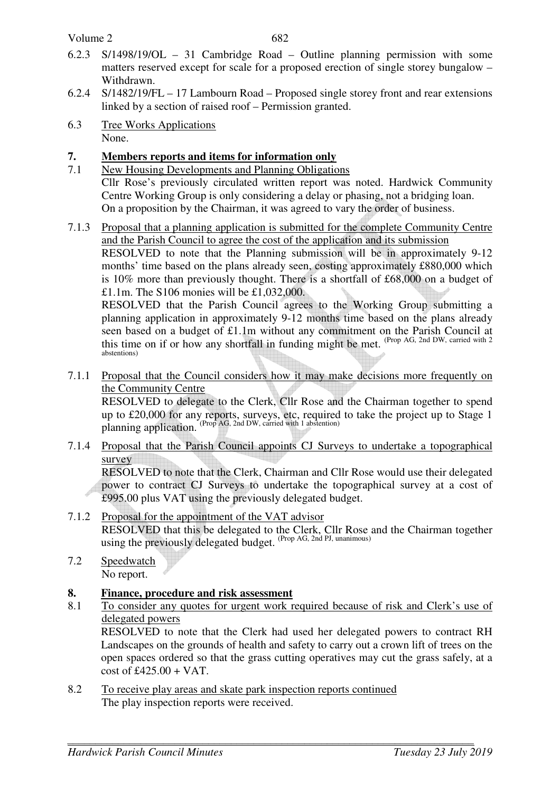Volume 2

- 6.2.3 S/1498/19/OL 31 Cambridge Road Outline planning permission with some matters reserved except for scale for a proposed erection of single storey bungalow – Withdrawn.
- 6.2.4 S/1482/19/FL 17 Lambourn Road Proposed single storey front and rear extensions linked by a section of raised roof – Permission granted.
- 6.3 Tree Works Applications None.

## **7. Members reports and items for information only**

- 7.1 New Housing Developments and Planning Obligations Cllr Rose's previously circulated written report was noted. Hardwick Community Centre Working Group is only considering a delay or phasing, not a bridging loan. On a proposition by the Chairman, it was agreed to vary the order of business.
- 7.1.3 Proposal that a planning application is submitted for the complete Community Centre and the Parish Council to agree the cost of the application and its submission RESOLVED to note that the Planning submission will be in approximately 9-12 months' time based on the plans already seen, costing approximately £880,000 which is 10% more than previously thought. There is a shortfall of £68,000 on a budget of £1.1m. The S106 monies will be £1,032,000.

RESOLVED that the Parish Council agrees to the Working Group submitting a planning application in approximately 9-12 months time based on the plans already seen based on a budget of £1.1m without any commitment on the Parish Council at this time on if or how any shortfall in funding might be met. (Prop AG, 2nd DW, carried with 2 abstentions)

7.1.1 Proposal that the Council considers how it may make decisions more frequently on the Community Centre

RESOLVED to delegate to the Clerk, Cllr Rose and the Chairman together to spend up to £20,000 for any reports, surveys, etc, required to take the project up to Stage 1 planning application. (Prop AG, 2nd DW, carried with 1 abstention)

7.1.4 Proposal that the Parish Council appoints CJ Surveys to undertake a topographical survey RESOLVED to note that the Clerk, Chairman and Cllr Rose would use their delegated

power to contract CJ Surveys to undertake the topographical survey at a cost of £995.00 plus VAT using the previously delegated budget.

- 7.1.2 Proposal for the appointment of the VAT advisor RESOLVED that this be delegated to the Clerk, Cllr Rose and the Chairman together using the previously delegated budget. (Prop AG, 2nd PJ, unanimous)
- 7.2 Speedwatch No report.

### **8. Finance, procedure and risk assessment**

8.1 To consider any quotes for urgent work required because of risk and Clerk's use of delegated powers

RESOLVED to note that the Clerk had used her delegated powers to contract RH Landscapes on the grounds of health and safety to carry out a crown lift of trees on the open spaces ordered so that the grass cutting operatives may cut the grass safely, at a  $\cot 6f$  £425.00 + VAT.

8.2 To receive play areas and skate park inspection reports continued The play inspection reports were received.